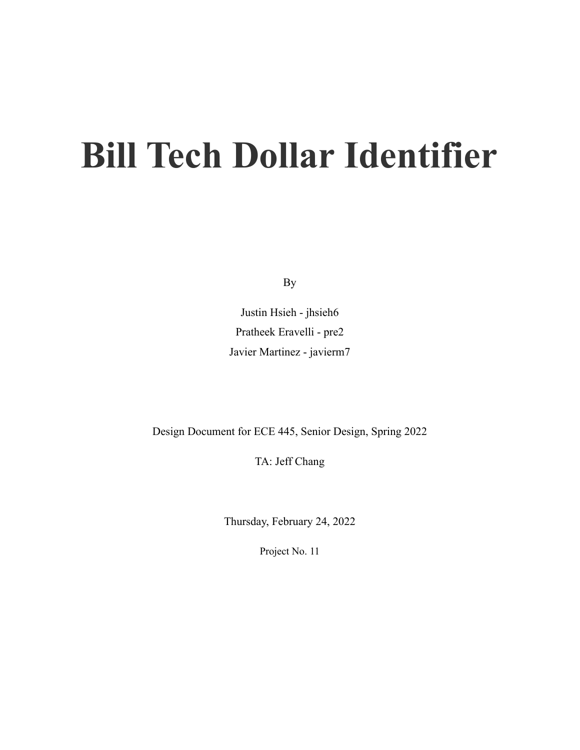# **Bill Tech Dollar Identifier**

By

Justin Hsieh - jhsieh6 Pratheek Eravelli - pre2 Javier Martinez - javierm7

Design Document for ECE 445, Senior Design, Spring 2022

TA: Jeff Chang

Thursday, February 24, 2022

Project No. 11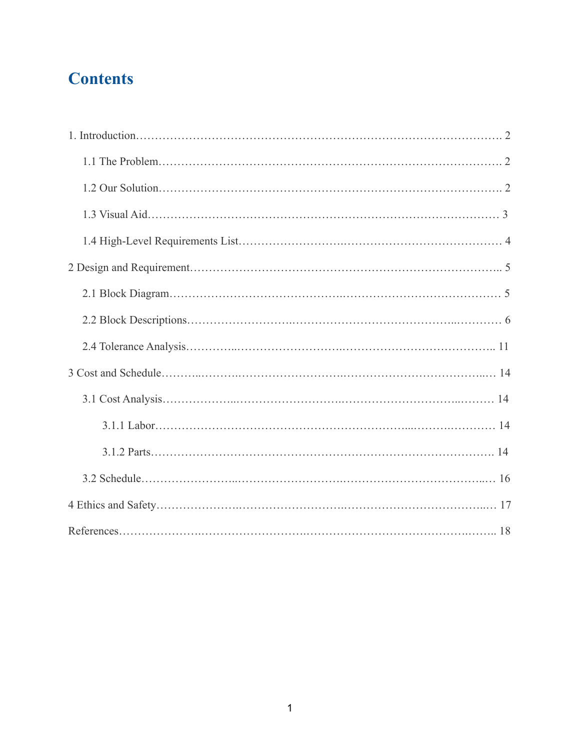# **Contents**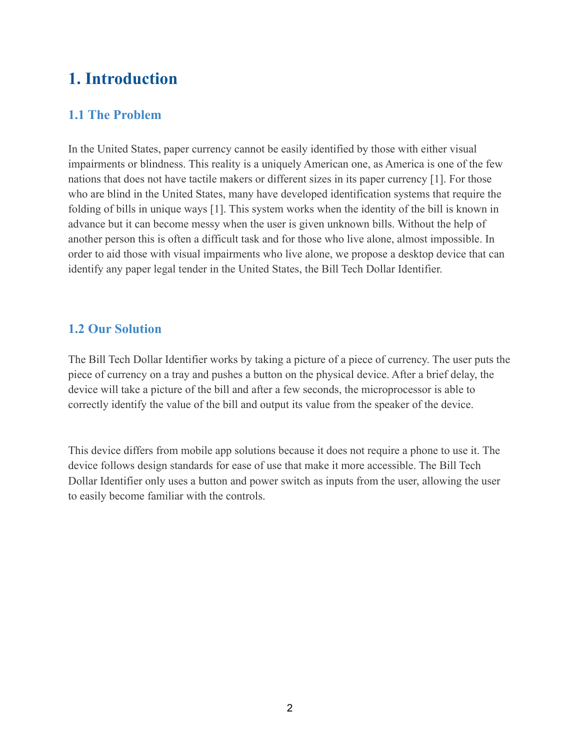## **1. Introduction**

#### **1.1 The Problem**

In the United States, paper currency cannot be easily identified by those with either visual impairments or blindness. This reality is a uniquely American one, as America is one of the few nations that does not have tactile makers or different sizes in its paper currency [1]. For those who are blind in the United States, many have developed identification systems that require the folding of bills in unique ways [1]. This system works when the identity of the bill is known in advance but it can become messy when the user is given unknown bills. Without the help of another person this is often a difficult task and for those who live alone, almost impossible. In order to aid those with visual impairments who live alone, we propose a desktop device that can identify any paper legal tender in the United States, the Bill Tech Dollar Identifier.

#### **1.2 Our Solution**

The Bill Tech Dollar Identifier works by taking a picture of a piece of currency. The user puts the piece of currency on a tray and pushes a button on the physical device. After a brief delay, the device will take a picture of the bill and after a few seconds, the microprocessor is able to correctly identify the value of the bill and output its value from the speaker of the device.

This device differs from mobile app solutions because it does not require a phone to use it. The device follows design standards for ease of use that make it more accessible. The Bill Tech Dollar Identifier only uses a button and power switch as inputs from the user, allowing the user to easily become familiar with the controls.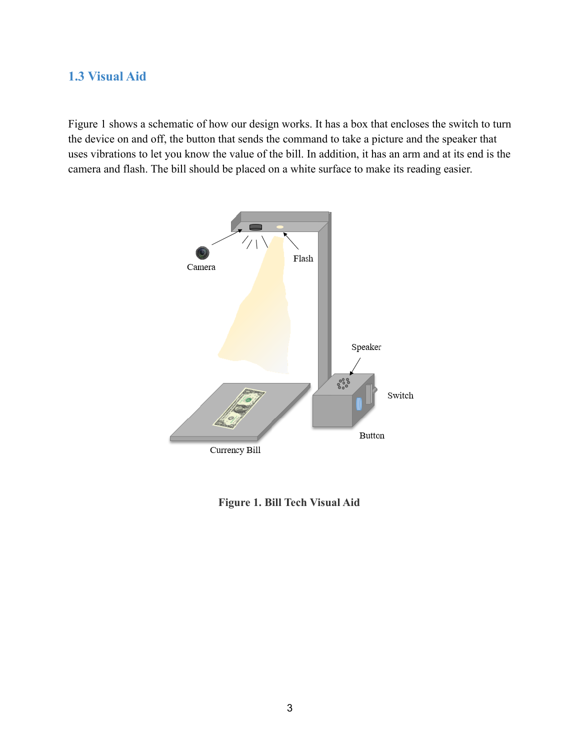#### **1.3 Visual Aid**

Figure 1 shows a schematic of how our design works. It has a box that encloses the switch to turn the device on and off, the button that sends the command to take a picture and the speaker that uses vibrations to let you know the value of the bill. In addition, it has an arm and at its end is the camera and flash. The bill should be placed on a white surface to make its reading easier.



**Figure 1. Bill Tech Visual Aid**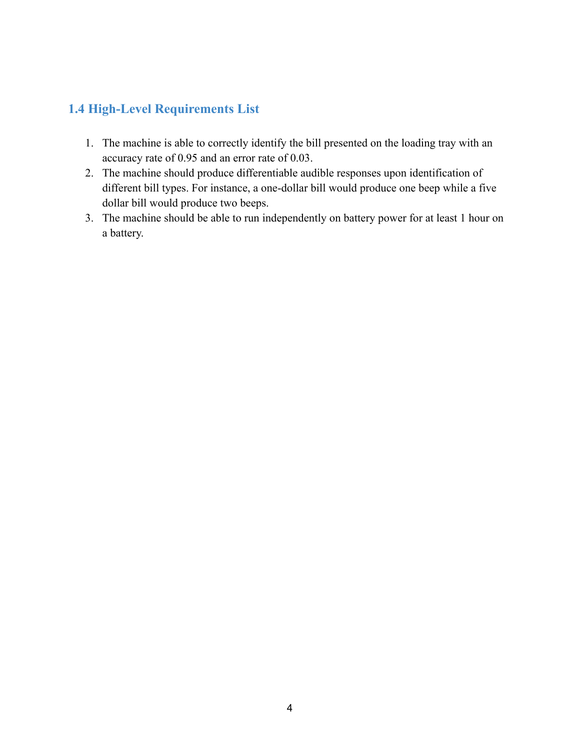#### **1.4 High-Level Requirements List**

- 1. The machine is able to correctly identify the bill presented on the loading tray with an accuracy rate of 0.95 and an error rate of 0.03.
- 2. The machine should produce differentiable audible responses upon identification of different bill types. For instance, a one-dollar bill would produce one beep while a five dollar bill would produce two beeps.
- 3. The machine should be able to run independently on battery power for at least 1 hour on a battery.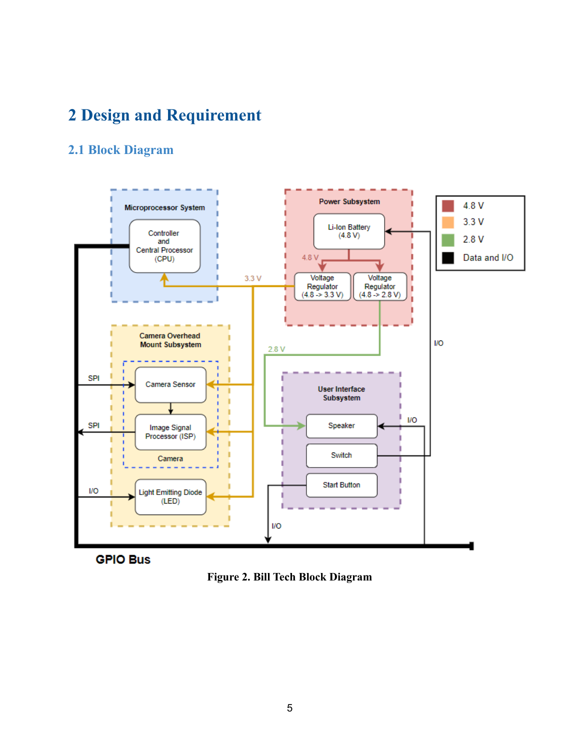# **2 Design and Requirement**

#### **2.1 Block Diagram**





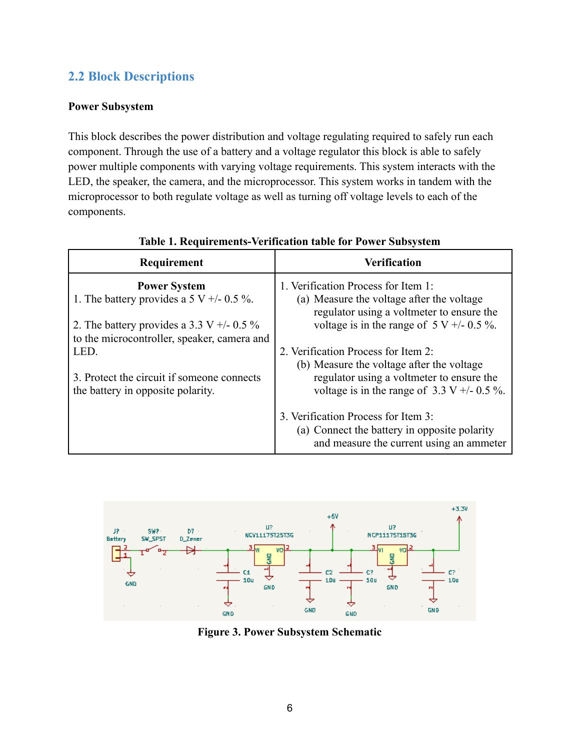#### **2.2 Block Descriptions**

#### **Power Subsystem**

This block describes the power distribution and voltage regulating required to safely run each component. Through the use of a battery and a voltage regulator this block is able to safely power multiple components with varying voltage requirements. This system interacts with the LED, the speaker, the camera, and the microprocessor. This system works in tandem with the microprocessor to both regulate voltage as well as turning off voltage levels to each of the components.

| Requirement                                                                                | <b>Verification</b>                                                                                                             |
|--------------------------------------------------------------------------------------------|---------------------------------------------------------------------------------------------------------------------------------|
| <b>Power System</b><br>1. The battery provides a 5 V $+/-$ 0.5 %.                          | 1. Verification Process for Item 1:<br>(a) Measure the voltage after the voltage<br>regulator using a voltmeter to ensure the   |
| 2. The battery provides a 3.3 V $+/-$ 0.5 %<br>to the microcontroller, speaker, camera and | voltage is in the range of $5 V + 0.5 \%$ .                                                                                     |
| LED.                                                                                       | 2. Verification Process for Item 2:<br>(b) Measure the voltage after the voltage                                                |
| 3. Protect the circuit if someone connects<br>the battery in opposite polarity.            | regulator using a voltmeter to ensure the<br>voltage is in the range of $3.3 \text{ V} + / -0.5 \%$ .                           |
|                                                                                            | 3. Verification Process for Item 3:<br>(a) Connect the battery in opposite polarity<br>and measure the current using an ammeter |

#### **Table 1. Requirements-Verification table for Power Subsystem**



**Figure 3. Power Subsystem Schematic**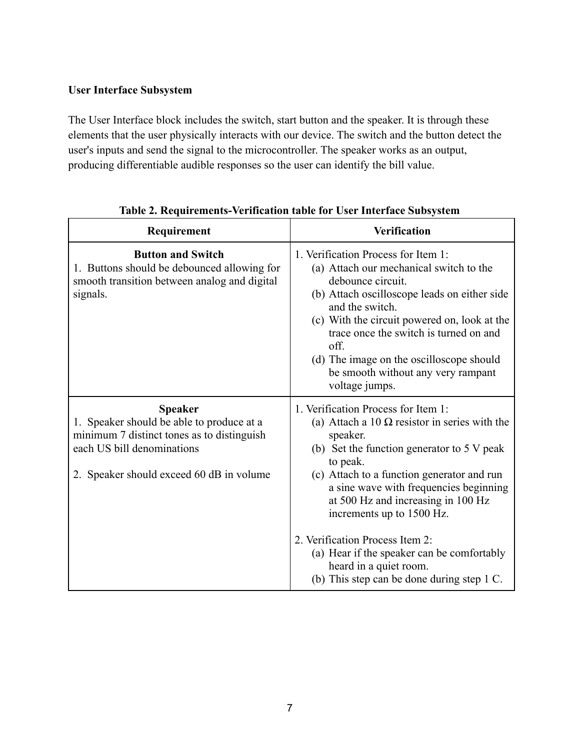#### **User Interface Subsystem**

The User Interface block includes the switch, start button and the speaker. It is through these elements that the user physically interacts with our device. The switch and the button detect the user's inputs and send the signal to the microcontroller. The speaker works as an output, producing differentiable audible responses so the user can identify the bill value.

| Requirement                                                                                                                                                                         | <b>Verification</b>                                                                                                                                                                                                                                                                                                                                                                                                                                                                             |
|-------------------------------------------------------------------------------------------------------------------------------------------------------------------------------------|-------------------------------------------------------------------------------------------------------------------------------------------------------------------------------------------------------------------------------------------------------------------------------------------------------------------------------------------------------------------------------------------------------------------------------------------------------------------------------------------------|
| <b>Button and Switch</b><br>1. Buttons should be debounced allowing for<br>smooth transition between analog and digital<br>signals.                                                 | 1. Verification Process for Item 1:<br>(a) Attach our mechanical switch to the<br>debounce circuit.<br>(b) Attach oscilloscope leads on either side<br>and the switch.<br>(c) With the circuit powered on, look at the<br>trace once the switch is turned on and<br>off.<br>(d) The image on the oscilloscope should<br>be smooth without any very rampant<br>voltage jumps.                                                                                                                    |
| <b>Speaker</b><br>1. Speaker should be able to produce at a<br>minimum 7 distinct tones as to distinguish<br>each US bill denominations<br>2. Speaker should exceed 60 dB in volume | 1. Verification Process for Item 1:<br>(a) Attach a 10 $\Omega$ resistor in series with the<br>speaker.<br>(b) Set the function generator to $5 \text{ V peak}$<br>to peak.<br>(c) Attach to a function generator and run<br>a sine wave with frequencies beginning<br>at 500 Hz and increasing in 100 Hz<br>increments up to 1500 Hz.<br>2. Verification Process Item 2:<br>(a) Hear if the speaker can be comfortably<br>heard in a quiet room.<br>(b) This step can be done during step 1 C. |

| Table 2. Requirements-Verification table for User Interface Subsystem |  |
|-----------------------------------------------------------------------|--|
|-----------------------------------------------------------------------|--|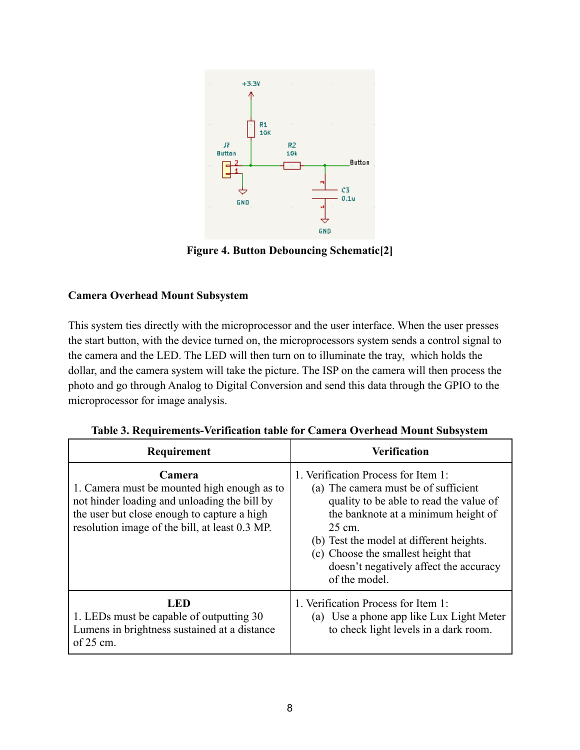

**Figure 4. Button Debouncing Schematic[2]**

#### **Camera Overhead Mount Subsystem**

This system ties directly with the microprocessor and the user interface. When the user presses the start button, with the device turned on, the microprocessors system sends a control signal to the camera and the LED. The LED will then turn on to illuminate the tray, which holds the dollar, and the camera system will take the picture. The ISP on the camera will then process the photo and go through Analog to Digital Conversion and send this data through the GPIO to the microprocessor for image analysis.

| Requirement                                                                                                                                                                                            | <b>Verification</b>                                                                                                                                                                                                                                                                                                   |
|--------------------------------------------------------------------------------------------------------------------------------------------------------------------------------------------------------|-----------------------------------------------------------------------------------------------------------------------------------------------------------------------------------------------------------------------------------------------------------------------------------------------------------------------|
| Camera<br>1. Camera must be mounted high enough as to<br>not hinder loading and unloading the bill by<br>the user but close enough to capture a high<br>resolution image of the bill, at least 0.3 MP. | 1. Verification Process for Item 1:<br>(a) The camera must be of sufficient<br>quality to be able to read the value of<br>the banknote at a minimum height of<br>25 cm.<br>(b) Test the model at different heights.<br>(c) Choose the smallest height that<br>doesn't negatively affect the accuracy<br>of the model. |
| LED<br>1. LEDs must be capable of outputting 30<br>Lumens in brightness sustained at a distance<br>of $25 \text{ cm}$ .                                                                                | 1. Verification Process for Item 1:<br>(a) Use a phone app like Lux Light Meter<br>to check light levels in a dark room.                                                                                                                                                                                              |

**Table 3. Requirements-Verification table for Camera Overhead Mount Subsystem**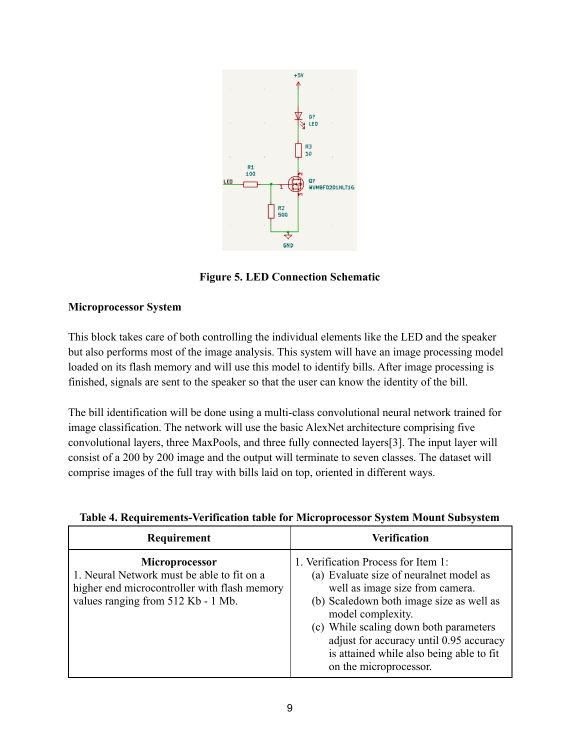

**Figure 5. LED Connection Schematic**

#### **Microprocessor System**

This block takes care of both controlling the individual elements like the LED and the speaker but also performs most of the image analysis. This system will have an image processing model loaded on its flash memory and will use this model to identify bills. After image processing is finished, signals are sent to the speaker so that the user can know the identity of the bill.

The bill identification will be done using a multi-class convolutional neural network trained for image classification. The network will use the basic AlexNet architecture comprising five convolutional layers, three MaxPools, and three fully connected layers[3]. The input layer will consist of a 200 by 200 image and the output will terminate to seven classes. The dataset will comprise images of the full tray with bills laid on top, oriented in different ways.

| Table 4. Requirements-Verification table for Microprocessor System Mount Subsystem |  |  |
|------------------------------------------------------------------------------------|--|--|
|                                                                                    |  |  |

| Requirement                                                                                                                                        | <b>Verification</b>                                                                                                                                                                                                                                                                                                                           |
|----------------------------------------------------------------------------------------------------------------------------------------------------|-----------------------------------------------------------------------------------------------------------------------------------------------------------------------------------------------------------------------------------------------------------------------------------------------------------------------------------------------|
| Microprocessor<br>1. Neural Network must be able to fit on a<br>higher end microcontroller with flash memory<br>values ranging from 512 Kb - 1 Mb. | 1. Verification Process for Item 1:<br>(a) Evaluate size of neuralnet model as<br>well as image size from camera.<br>(b) Scaledown both image size as well as<br>model complexity.<br>(c) While scaling down both parameters<br>adjust for accuracy until 0.95 accuracy<br>is attained while also being able to fit<br>on the microprocessor. |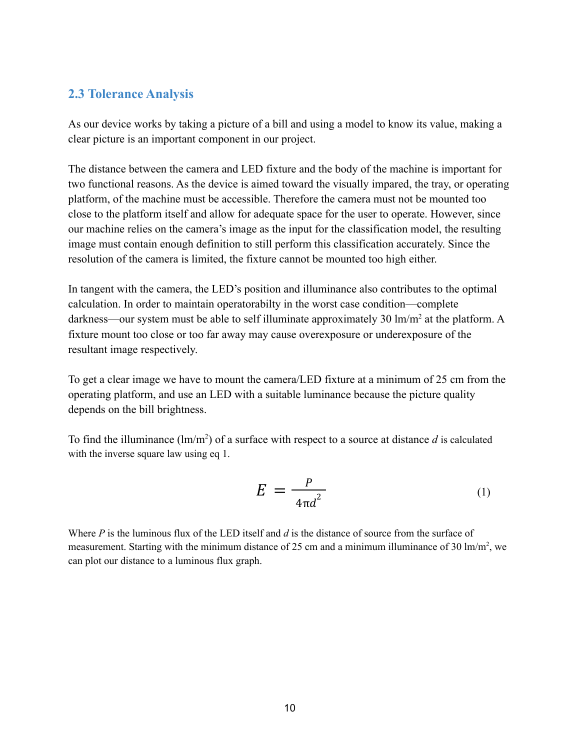#### **2.3 Tolerance Analysis**

As our device works by taking a picture of a bill and using a model to know its value, making a clear picture is an important component in our project.

The distance between the camera and LED fixture and the body of the machine is important for two functional reasons. As the device is aimed toward the visually impared, the tray, or operating platform, of the machine must be accessible. Therefore the camera must not be mounted too close to the platform itself and allow for adequate space for the user to operate. However, since our machine relies on the camera's image as the input for the classification model, the resulting image must contain enough definition to still perform this classification accurately. Since the resolution of the camera is limited, the fixture cannot be mounted too high either.

In tangent with the camera, the LED's position and illuminance also contributes to the optimal calculation. In order to maintain operatorabilty in the worst case condition—complete darkness—our system must be able to self illuminate approximately 30  $\text{Im}/\text{m}^2$  at the platform. A fixture mount too close or too far away may cause overexposure or underexposure of the resultant image respectively.

To get a clear image we have to mount the camera/LED fixture at a minimum of 25 cm from the operating platform, and use an LED with a suitable luminance because the picture quality depends on the bill brightness.

To find the illuminance  $(\text{lm/m}^2)$  of a surface with respect to a source at distance  $d$  is calculated with the inverse square law using eq 1.

$$
E = \frac{P}{4\pi d^2} \tag{1}
$$

Where *P* is the luminous flux of the LED itself and *d* is the distance of source from the surface of measurement. Starting with the minimum distance of 25 cm and a minimum illuminance of 30  $\text{Im}/\text{m}^2$ , we can plot our distance to a luminous flux graph.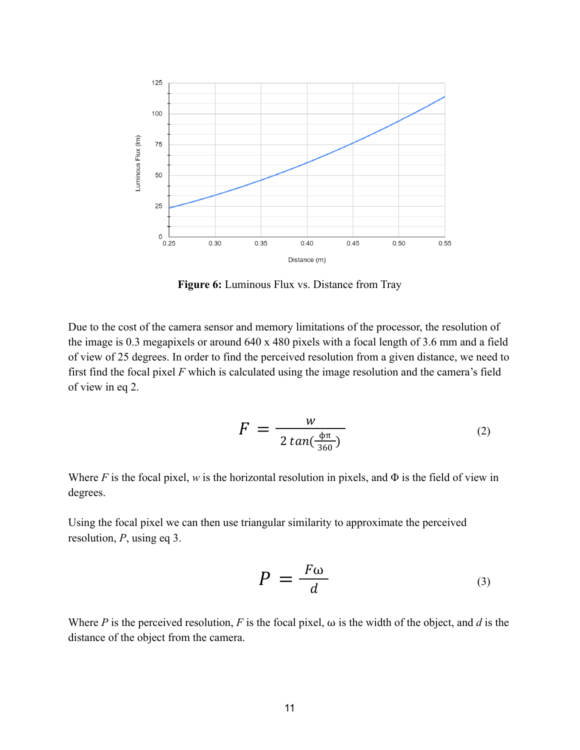

**Figure 6:** Luminous Flux vs. Distance from Tray

Due to the cost of the camera sensor and memory limitations of the processor, the resolution of the image is 0.3 megapixels or around 640 x 480 pixels with a focal length of 3.6 mm and a field of view of 25 degrees. In order to find the perceived resolution from a given distance, we need to first find the focal pixel *F* which is calculated using the image resolution and the camera's field of view in eq 2.

$$
F = \frac{w}{2 \tan(\frac{\Phi \pi}{360})}
$$
 (2)

Where *F* is the focal pixel, *w* is the horizontal resolution in pixels, and  $\Phi$  is the field of view in degrees.

Using the focal pixel we can then use triangular similarity to approximate the perceived resolution, *P*, using eq 3.

$$
P = \frac{F\omega}{d} \tag{3}
$$

Where *P* is the perceived resolution, *F* is the focal pixel,  $\omega$  is the width of the object, and *d* is the distance of the object from the camera.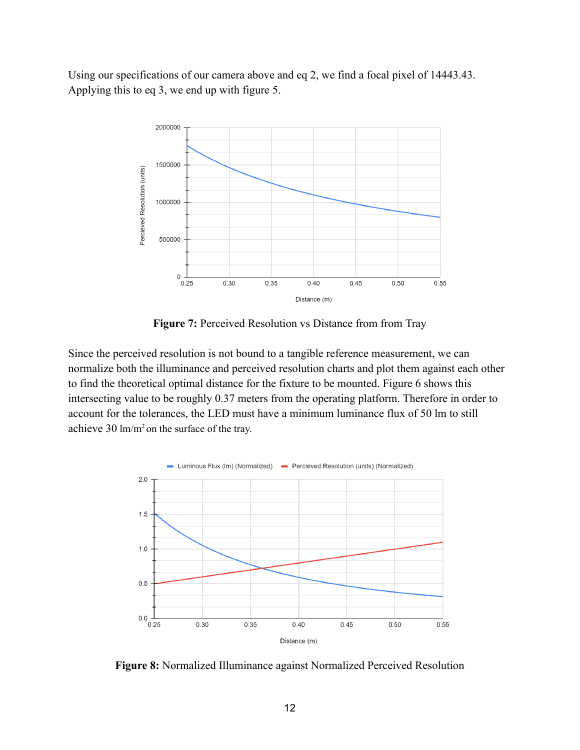Using our specifications of our camera above and eq 2, we find a focal pixel of 14443.43. Applying this to eq 3, we end up with figure 5.



**Figure 7:** Perceived Resolution vs Distance from from Tray

Since the perceived resolution is not bound to a tangible reference measurement, we can normalize both the illuminance and perceived resolution charts and plot them against each other to find the theoretical optimal distance for the fixture to be mounted. Figure 6 shows this intersecting value to be roughly 0.37 meters from the operating platform. Therefore in order to account for the tolerances, the LED must have a minimum luminance flux of 50 lm to still achieve 30 lm/m<sup>2</sup> on the surface of the tray.



**Figure 8:** Normalized Illuminance against Normalized Perceived Resolution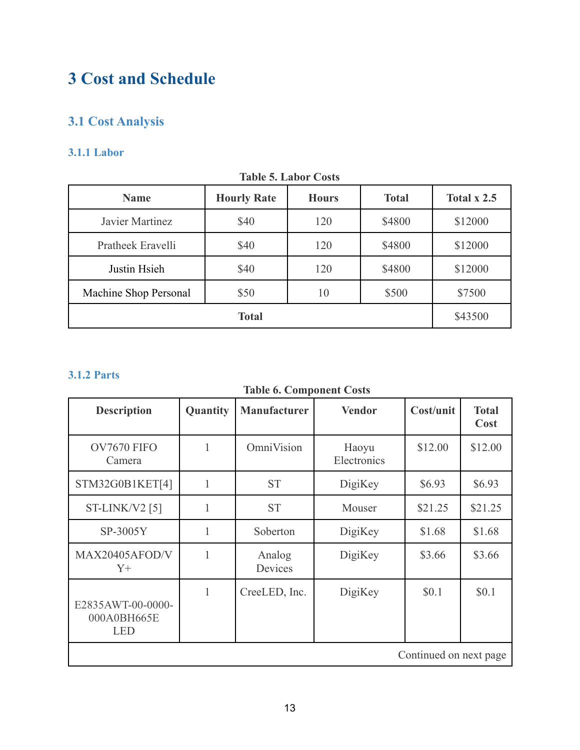# **3 Cost and Schedule**

### **3.1 Cost Analysis**

#### **3.1.1 Labor**

| TAUR J. LAUVI COSIS   |               |     |        |         |  |
|-----------------------|---------------|-----|--------|---------|--|
| <b>Name</b>           | Total $x$ 2.5 |     |        |         |  |
| Javier Martinez       | \$40          | 120 | \$4800 | \$12000 |  |
| Pratheek Eravelli     | \$40          | 120 | \$4800 | \$12000 |  |
| Justin Hsieh          | \$40          | 120 | \$4800 | \$12000 |  |
| Machine Shop Personal | \$50          | 10  | \$500  | \$7500  |  |
|                       | \$43500       |     |        |         |  |

#### **Table 5. Labor Costs**

#### **3.1.2 Parts**

|  |  | <b>Table 6. Component Costs</b> |  |
|--|--|---------------------------------|--|
|--|--|---------------------------------|--|

| <b>Description</b>                             | Quantity     | <b>Manufacturer</b> | <b>Vendor</b>        | Cost/unit              | <b>Total</b><br>Cost |
|------------------------------------------------|--------------|---------------------|----------------------|------------------------|----------------------|
| OV7670 FIFO<br>Camera                          | 1            | OmniVision          | Haoyu<br>Electronics | \$12.00                | \$12.00              |
| STM32G0B1KET[4]                                | 1            | <b>ST</b>           | DigiKey              | \$6.93                 | \$6.93               |
| ST-LINK/V2 [5]                                 | 1            | <b>ST</b>           | Mouser               | \$21.25                | \$21.25              |
| SP-3005Y                                       | 1            | Soberton            | DigiKey              | \$1.68                 | \$1.68               |
| MAX20405AFOD/V<br>$Y_{+}$                      | 1            | Analog<br>Devices   | DigiKey              | \$3.66                 | \$3.66               |
| E2835AWT-00-0000-<br>000A0BH665E<br><b>LED</b> | $\mathbf{1}$ | CreeLED, Inc.       | DigiKey              | \$0.1                  | \$0.1                |
|                                                |              |                     |                      | Continued on next page |                      |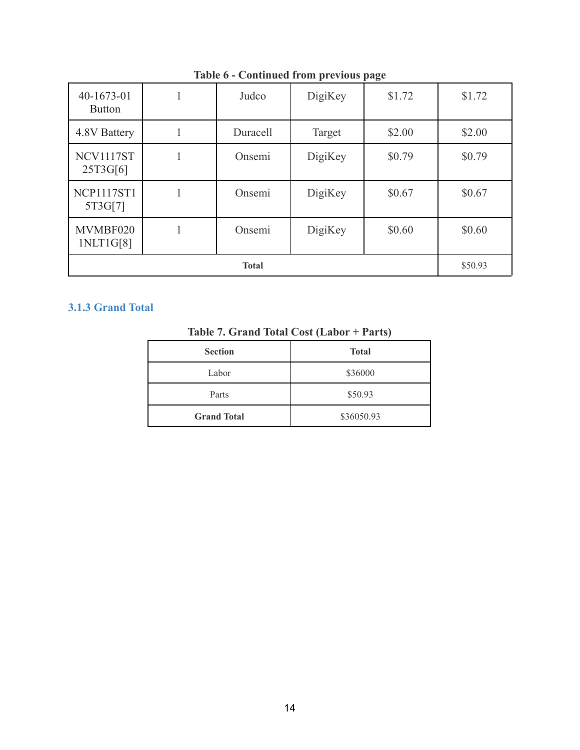| $40-1673-01$<br><b>Button</b> |  | Judco    | DigiKey | \$1.72 | \$1.72  |
|-------------------------------|--|----------|---------|--------|---------|
| 4.8V Battery                  |  | Duracell | Target  | \$2.00 | \$2.00  |
| NCV1117ST<br>25T3G[6]         |  | Onsemi   | DigiKey | \$0.79 | \$0.79  |
| <b>NCP1117ST1</b><br>5T3G[7]  |  | Onsemi   | DigiKey | \$0.67 | \$0.67  |
| MVMBF020<br>1NLT1G[8]         |  | Onsemi   | DigiKey | \$0.60 | \$0.60  |
| <b>Total</b>                  |  |          |         |        | \$50.93 |

**Table 6 - Continued from previous page**

#### **3.1.3 Grand Total**

| Table 7. Grand Total Cost (Labor + Parts) |  |  |  |  |  |  |
|-------------------------------------------|--|--|--|--|--|--|
|-------------------------------------------|--|--|--|--|--|--|

| <b>Section</b>     | <b>Total</b> |  |
|--------------------|--------------|--|
| Labor              | \$36000      |  |
| Parts              | \$50.93      |  |
| <b>Grand Total</b> | \$36050.93   |  |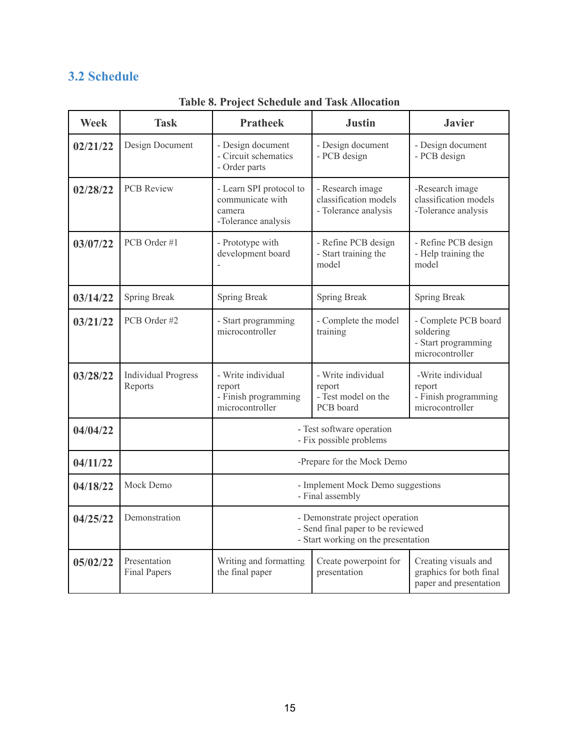#### **3.2 Schedule**

| <b>Week</b> | <b>Task</b>                           | <b>Pratheek</b>                                                                                             | <b>Justin</b>                                                     | <b>Javier</b>                                                               |  |
|-------------|---------------------------------------|-------------------------------------------------------------------------------------------------------------|-------------------------------------------------------------------|-----------------------------------------------------------------------------|--|
| 02/21/22    | Design Document                       | - Design document<br>- Circuit schematics<br>- Order parts                                                  | - Design document<br>- PCB design                                 | - Design document<br>- PCB design                                           |  |
| 02/28/22    | <b>PCB Review</b>                     | - Learn SPI protocol to<br>communicate with<br>camera<br>-Tolerance analysis                                | - Research image<br>classification models<br>- Tolerance analysis | -Research image<br>classification models<br>-Tolerance analysis             |  |
| 03/07/22    | PCB Order #1                          | - Prototype with<br>development board                                                                       | - Refine PCB design<br>- Start training the<br>model              | - Refine PCB design<br>- Help training the<br>model                         |  |
| 03/14/22    | Spring Break                          | Spring Break                                                                                                | Spring Break                                                      | Spring Break                                                                |  |
| 03/21/22    | PCB Order #2                          | - Start programming<br>microcontroller                                                                      | - Complete the model<br>training                                  | - Complete PCB board<br>soldering<br>- Start programming<br>microcontroller |  |
| 03/28/22    | <b>Individual Progress</b><br>Reports | - Write individual<br>report<br>- Finish programming<br>microcontroller                                     | - Write individual<br>report<br>- Test model on the<br>PCB board  | -Write individual<br>report<br>- Finish programming<br>microcontroller      |  |
| 04/04/22    |                                       | - Test software operation<br>- Fix possible problems                                                        |                                                                   |                                                                             |  |
| 04/11/22    |                                       | -Prepare for the Mock Demo                                                                                  |                                                                   |                                                                             |  |
| 04/18/22    | Mock Demo                             | - Implement Mock Demo suggestions<br>- Final assembly                                                       |                                                                   |                                                                             |  |
| 04/25/22    | Demonstration                         | - Demonstrate project operation<br>- Send final paper to be reviewed<br>- Start working on the presentation |                                                                   |                                                                             |  |
| 05/02/22    | Presentation<br><b>Final Papers</b>   | Writing and formatting<br>the final paper                                                                   | Create powerpoint for<br>presentation                             | Creating visuals and<br>graphics for both final<br>paper and presentation   |  |

**Table 8. Project Schedule and Task Allocation**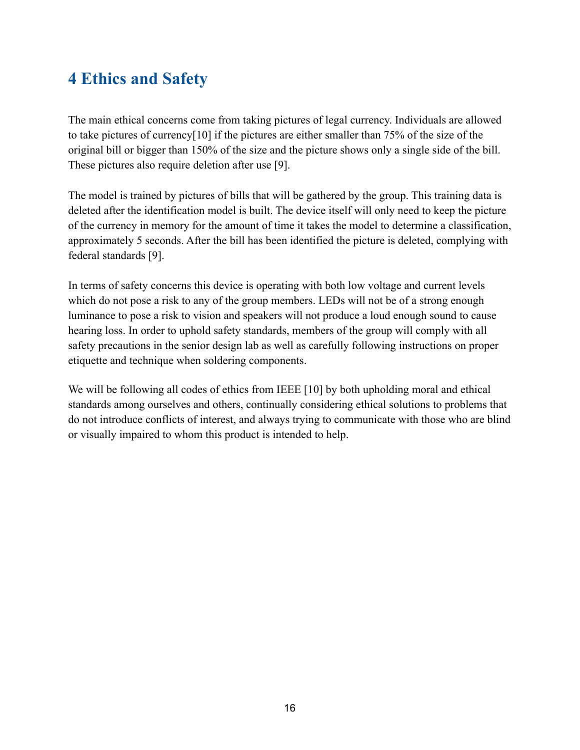# **4 Ethics and Safety**

The main ethical concerns come from taking pictures of legal currency. Individuals are allowed to take pictures of currency[10] if the pictures are either smaller than 75% of the size of the original bill or bigger than 150% of the size and the picture shows only a single side of the bill. These pictures also require deletion after use [9].

The model is trained by pictures of bills that will be gathered by the group. This training data is deleted after the identification model is built. The device itself will only need to keep the picture of the currency in memory for the amount of time it takes the model to determine a classification, approximately 5 seconds. After the bill has been identified the picture is deleted, complying with federal standards [9].

In terms of safety concerns this device is operating with both low voltage and current levels which do not pose a risk to any of the group members. LEDs will not be of a strong enough luminance to pose a risk to vision and speakers will not produce a loud enough sound to cause hearing loss. In order to uphold safety standards, members of the group will comply with all safety precautions in the senior design lab as well as carefully following instructions on proper etiquette and technique when soldering components.

We will be following all codes of ethics from IEEE [10] by both upholding moral and ethical standards among ourselves and others, continually considering ethical solutions to problems that do not introduce conflicts of interest, and always trying to communicate with those who are blind or visually impaired to whom this product is intended to help.